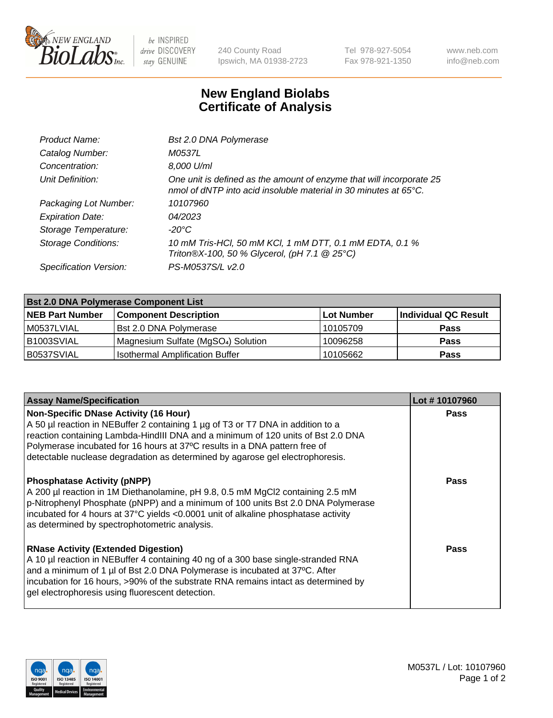

 $be$  INSPIRED drive DISCOVERY stay GENUINE

240 County Road Ipswich, MA 01938-2723 Tel 978-927-5054 Fax 978-921-1350 www.neb.com info@neb.com

## **New England Biolabs Certificate of Analysis**

| Product Name:              | Bst 2.0 DNA Polymerase                                                                                                                             |
|----------------------------|----------------------------------------------------------------------------------------------------------------------------------------------------|
| Catalog Number:            | M0537L                                                                                                                                             |
| Concentration:             | 8,000 U/ml                                                                                                                                         |
| Unit Definition:           | One unit is defined as the amount of enzyme that will incorporate 25<br>nmol of dNTP into acid insoluble material in 30 minutes at $65^{\circ}$ C. |
| Packaging Lot Number:      | 10107960                                                                                                                                           |
| <b>Expiration Date:</b>    | 04/2023                                                                                                                                            |
| Storage Temperature:       | -20°C                                                                                                                                              |
| <b>Storage Conditions:</b> | 10 mM Tris-HCl, 50 mM KCl, 1 mM DTT, 0.1 mM EDTA, 0.1 %<br>Triton®X-100, 50 % Glycerol, (pH 7.1 @ 25°C)                                            |
| Specification Version:     | PS-M0537S/L v2.0                                                                                                                                   |

| <b>Bst 2.0 DNA Polymerase Component List</b> |                                                 |                   |                      |  |
|----------------------------------------------|-------------------------------------------------|-------------------|----------------------|--|
| <b>NEB Part Number</b>                       | <b>Component Description</b>                    | <b>Lot Number</b> | Individual QC Result |  |
| M0537LVIAL                                   | Bst 2.0 DNA Polymerase                          | 10105709          | <b>Pass</b>          |  |
| B1003SVIAL                                   | Magnesium Sulfate (MgSO <sub>4</sub> ) Solution | 10096258          | <b>Pass</b>          |  |
| B0537SVIAL                                   | <b>Isothermal Amplification Buffer</b>          | 10105662          | <b>Pass</b>          |  |

| <b>Assay Name/Specification</b>                                                                                                                                                                                                                                                                                                                                             | Lot #10107960 |
|-----------------------------------------------------------------------------------------------------------------------------------------------------------------------------------------------------------------------------------------------------------------------------------------------------------------------------------------------------------------------------|---------------|
| Non-Specific DNase Activity (16 Hour)<br>A 50 µl reaction in NEBuffer 2 containing 1 µg of T3 or T7 DNA in addition to a<br>reaction containing Lambda-HindIII DNA and a minimum of 120 units of Bst 2.0 DNA<br>Polymerase incubated for 16 hours at 37°C results in a DNA pattern free of<br>detectable nuclease degradation as determined by agarose gel electrophoresis. | <b>Pass</b>   |
| <b>Phosphatase Activity (pNPP)</b><br>A 200 µl reaction in 1M Diethanolamine, pH 9.8, 0.5 mM MgCl2 containing 2.5 mM<br>$\vert$ p-Nitrophenyl Phosphate (pNPP) and a minimum of 100 units Bst 2.0 DNA Polymerase<br>incubated for 4 hours at 37°C yields <0.0001 unit of alkaline phosphatase activity<br>as determined by spectrophotometric analysis.                     | <b>Pass</b>   |
| <b>RNase Activity (Extended Digestion)</b><br>A 10 µl reaction in NEBuffer 4 containing 40 ng of a 300 base single-stranded RNA<br>and a minimum of 1 µl of Bst 2.0 DNA Polymerase is incubated at 37°C. After<br>incubation for 16 hours, >90% of the substrate RNA remains intact as determined by<br>gel electrophoresis using fluorescent detection.                    | Pass          |